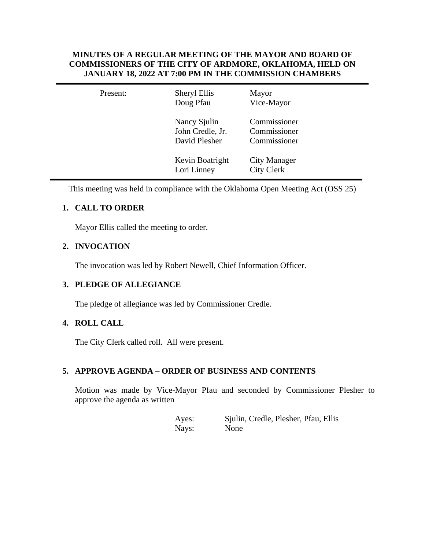## **MINUTES OF A REGULAR MEETING OF THE MAYOR AND BOARD OF COMMISSIONERS OF THE CITY OF ARDMORE, OKLAHOMA, HELD ON JANUARY 18, 2022 AT 7:00 PM IN THE COMMISSION CHAMBERS**

| Present: | Sheryl Ellis<br>Doug Pfau                         | Mayor<br>Vice-Mayor                          |  |
|----------|---------------------------------------------------|----------------------------------------------|--|
|          | Nancy Sjulin<br>John Credle, Jr.<br>David Plesher | Commissioner<br>Commissioner<br>Commissioner |  |
|          | Kevin Boatright<br>Lori Linney                    | City Manager<br><b>City Clerk</b>            |  |

This meeting was held in compliance with the Oklahoma Open Meeting Act (OSS 25)

# **1. CALL TO ORDER**

Mayor Ellis called the meeting to order.

# **2. INVOCATION**

The invocation was led by Robert Newell, Chief Information Officer.

# **3. PLEDGE OF ALLEGIANCE**

The pledge of allegiance was led by Commissioner Credle.

# **4. ROLL CALL**

The City Clerk called roll. All were present.

# **5. APPROVE AGENDA – ORDER OF BUSINESS AND CONTENTS**

Motion was made by Vice-Mayor Pfau and seconded by Commissioner Plesher to approve the agenda as written

> Ayes: Sjulin, Credle, Plesher, Pfau, Ellis Nays: None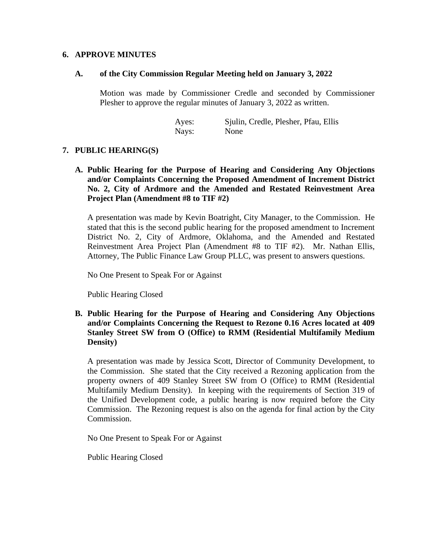#### **6. APPROVE MINUTES**

#### **A. of the City Commission Regular Meeting held on January 3, 2022**

Motion was made by Commissioner Credle and seconded by Commissioner Plesher to approve the regular minutes of January 3, 2022 as written.

> Ayes: Sjulin, Credle, Plesher, Pfau, Ellis Nays: None

### **7. PUBLIC HEARING(S)**

**A. Public Hearing for the Purpose of Hearing and Considering Any Objections and/or Complaints Concerning the Proposed Amendment of Increment District No. 2, City of Ardmore and the Amended and Restated Reinvestment Area Project Plan (Amendment #8 to TIF #2)**

A presentation was made by Kevin Boatright, City Manager, to the Commission. He stated that this is the second public hearing for the proposed amendment to Increment District No. 2, City of Ardmore, Oklahoma, and the Amended and Restated Reinvestment Area Project Plan (Amendment #8 to TIF #2). Mr. Nathan Ellis, Attorney, The Public Finance Law Group PLLC, was present to answers questions.

No One Present to Speak For or Against

Public Hearing Closed

**B. Public Hearing for the Purpose of Hearing and Considering Any Objections and/or Complaints Concerning the Request to Rezone 0.16 Acres located at 409 Stanley Street SW from O (Office) to RMM (Residential Multifamily Medium Density)**

A presentation was made by Jessica Scott, Director of Community Development, to the Commission. She stated that the City received a Rezoning application from the property owners of 409 Stanley Street SW from O (Office) to RMM (Residential Multifamily Medium Density). In keeping with the requirements of Section 319 of the Unified Development code, a public hearing is now required before the City Commission. The Rezoning request is also on the agenda for final action by the City Commission.

No One Present to Speak For or Against

Public Hearing Closed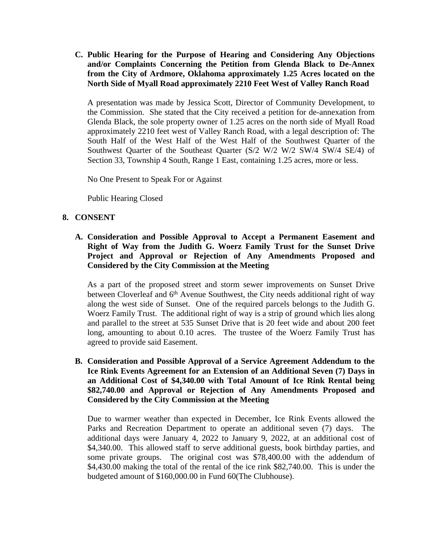**C. Public Hearing for the Purpose of Hearing and Considering Any Objections and/or Complaints Concerning the Petition from Glenda Black to De-Annex from the City of Ardmore, Oklahoma approximately 1.25 Acres located on the North Side of Myall Road approximately 2210 Feet West of Valley Ranch Road**

A presentation was made by Jessica Scott, Director of Community Development, to the Commission. She stated that the City received a petition for de-annexation from Glenda Black, the sole property owner of 1.25 acres on the north side of Myall Road approximately 2210 feet west of Valley Ranch Road, with a legal description of: The South Half of the West Half of the West Half of the Southwest Quarter of the Southwest Quarter of the Southeast Quarter (S/2 W/2 W/2 SW/4 SW/4 SE/4) of Section 33, Township 4 South, Range 1 East, containing 1.25 acres, more or less.

No One Present to Speak For or Against

Public Hearing Closed

### **8. CONSENT**

**A. Consideration and Possible Approval to Accept a Permanent Easement and Right of Way from the Judith G. Woerz Family Trust for the Sunset Drive Project and Approval or Rejection of Any Amendments Proposed and Considered by the City Commission at the Meeting**

As a part of the proposed street and storm sewer improvements on Sunset Drive between Cloverleaf and 6<sup>th</sup> Avenue Southwest, the City needs additional right of way along the west side of Sunset. One of the required parcels belongs to the Judith G. Woerz Family Trust. The additional right of way is a strip of ground which lies along and parallel to the street at 535 Sunset Drive that is 20 feet wide and about 200 feet long, amounting to about 0.10 acres. The trustee of the Woerz Family Trust has agreed to provide said Easement.

**B. Consideration and Possible Approval of a Service Agreement Addendum to the Ice Rink Events Agreement for an Extension of an Additional Seven (7) Days in an Additional Cost of \$4,340.00 with Total Amount of Ice Rink Rental being \$82,740.00 and Approval or Rejection of Any Amendments Proposed and Considered by the City Commission at the Meeting**

Due to warmer weather than expected in December, Ice Rink Events allowed the Parks and Recreation Department to operate an additional seven (7) days. The additional days were January 4, 2022 to January 9, 2022, at an additional cost of \$4,340.00. This allowed staff to serve additional guests, book birthday parties, and some private groups. The original cost was \$78,400.00 with the addendum of \$4,430.00 making the total of the rental of the ice rink \$82,740.00. This is under the budgeted amount of \$160,000.00 in Fund 60(The Clubhouse).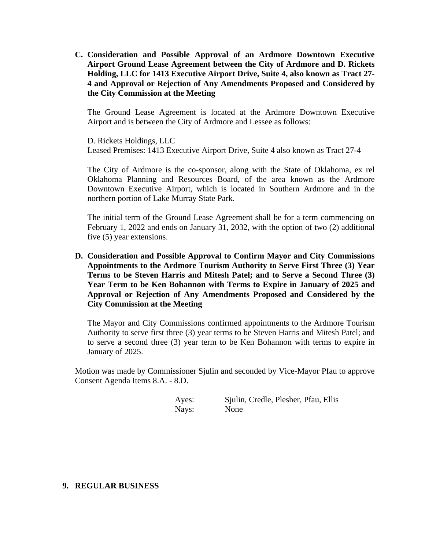**C. Consideration and Possible Approval of an Ardmore Downtown Executive Airport Ground Lease Agreement between the City of Ardmore and D. Rickets Holding, LLC for 1413 Executive Airport Drive, Suite 4, also known as Tract 27- 4 and Approval or Rejection of Any Amendments Proposed and Considered by the City Commission at the Meeting**

The Ground Lease Agreement is located at the Ardmore Downtown Executive Airport and is between the City of Ardmore and Lessee as follows:

D. Rickets Holdings, LLC Leased Premises: 1413 Executive Airport Drive, Suite 4 also known as Tract 27-4

The City of Ardmore is the co-sponsor, along with the State of Oklahoma, ex rel Oklahoma Planning and Resources Board, of the area known as the Ardmore Downtown Executive Airport, which is located in Southern Ardmore and in the northern portion of Lake Murray State Park.

The initial term of the Ground Lease Agreement shall be for a term commencing on February 1, 2022 and ends on January 31, 2032, with the option of two (2) additional five (5) year extensions.

**D. Consideration and Possible Approval to Confirm Mayor and City Commissions Appointments to the Ardmore Tourism Authority to Serve First Three (3) Year Terms to be Steven Harris and Mitesh Patel; and to Serve a Second Three (3) Year Term to be Ken Bohannon with Terms to Expire in January of 2025 and Approval or Rejection of Any Amendments Proposed and Considered by the City Commission at the Meeting**

The Mayor and City Commissions confirmed appointments to the Ardmore Tourism Authority to serve first three (3) year terms to be Steven Harris and Mitesh Patel; and to serve a second three (3) year term to be Ken Bohannon with terms to expire in January of 2025.

Motion was made by Commissioner Sjulin and seconded by Vice-Mayor Pfau to approve Consent Agenda Items 8.A. - 8.D.

Ayes: Sjulin, Credle, Plesher, Pfau, Ellis Nays: None

### **9. REGULAR BUSINESS**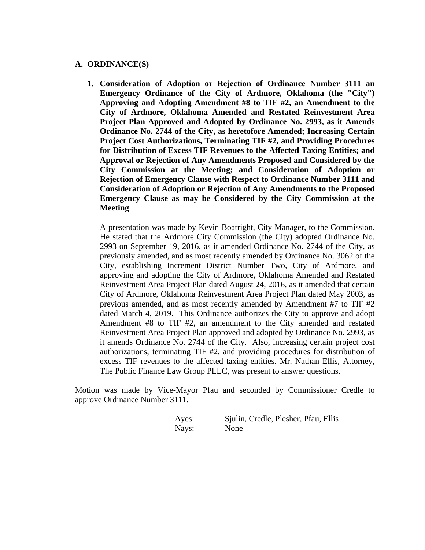### **A. ORDINANCE(S)**

**1. Consideration of Adoption or Rejection of Ordinance Number 3111 an Emergency Ordinance of the City of Ardmore, Oklahoma (the "City") Approving and Adopting Amendment #8 to TIF #2, an Amendment to the City of Ardmore, Oklahoma Amended and Restated Reinvestment Area Project Plan Approved and Adopted by Ordinance No. 2993, as it Amends Ordinance No. 2744 of the City, as heretofore Amended; Increasing Certain Project Cost Authorizations, Terminating TIF #2, and Providing Procedures for Distribution of Excess TIF Revenues to the Affected Taxing Entities; and Approval or Rejection of Any Amendments Proposed and Considered by the City Commission at the Meeting; and Consideration of Adoption or Rejection of Emergency Clause with Respect to Ordinance Number 3111 and Consideration of Adoption or Rejection of Any Amendments to the Proposed Emergency Clause as may be Considered by the City Commission at the Meeting**

A presentation was made by Kevin Boatright, City Manager, to the Commission. He stated that the Ardmore City Commission (the City) adopted Ordinance No. 2993 on September 19, 2016, as it amended Ordinance No. 2744 of the City, as previously amended, and as most recently amended by Ordinance No. 3062 of the City, establishing Increment District Number Two, City of Ardmore, and approving and adopting the City of Ardmore, Oklahoma Amended and Restated Reinvestment Area Project Plan dated August 24, 2016, as it amended that certain City of Ardmore, Oklahoma Reinvestment Area Project Plan dated May 2003, as previous amended, and as most recently amended by Amendment #7 to TIF #2 dated March 4, 2019. This Ordinance authorizes the City to approve and adopt Amendment #8 to TIF #2, an amendment to the City amended and restated Reinvestment Area Project Plan approved and adopted by Ordinance No. 2993, as it amends Ordinance No. 2744 of the City. Also, increasing certain project cost authorizations, terminating TIF #2, and providing procedures for distribution of excess TIF revenues to the affected taxing entities. Mr. Nathan Ellis, Attorney, The Public Finance Law Group PLLC, was present to answer questions.

Motion was made by Vice-Mayor Pfau and seconded by Commissioner Credle to approve Ordinance Number 3111.

| Ayes: | Sjulin, Credle, Plesher, Pfau, Ellis |
|-------|--------------------------------------|
| Nays: | None                                 |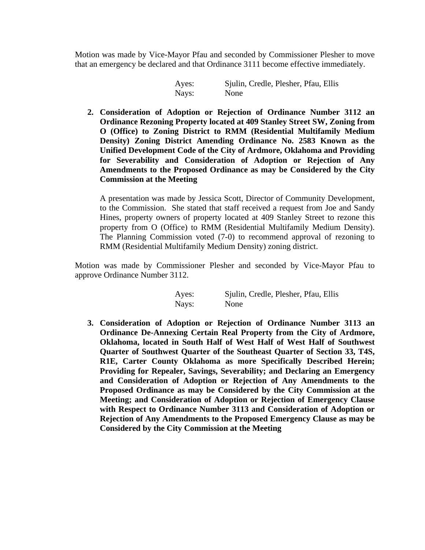Motion was made by Vice-Mayor Pfau and seconded by Commissioner Plesher to move that an emergency be declared and that Ordinance 3111 become effective immediately.

> Ayes: Sjulin, Credle, Plesher, Pfau, Ellis Nays: None

**2. Consideration of Adoption or Rejection of Ordinance Number 3112 an Ordinance Rezoning Property located at 409 Stanley Street SW, Zoning from O (Office) to Zoning District to RMM (Residential Multifamily Medium Density) Zoning District Amending Ordinance No. 2583 Known as the Unified Development Code of the City of Ardmore, Oklahoma and Providing for Severability and Consideration of Adoption or Rejection of Any Amendments to the Proposed Ordinance as may be Considered by the City Commission at the Meeting**

A presentation was made by Jessica Scott, Director of Community Development, to the Commission. She stated that staff received a request from Joe and Sandy Hines, property owners of property located at 409 Stanley Street to rezone this property from O (Office) to RMM (Residential Multifamily Medium Density). The Planning Commission voted (7-0) to recommend approval of rezoning to RMM (Residential Multifamily Medium Density) zoning district.

Motion was made by Commissioner Plesher and seconded by Vice-Mayor Pfau to approve Ordinance Number 3112.

| Ayes: | Sjulin, Credle, Plesher, Pfau, Ellis |
|-------|--------------------------------------|
| Nays: | None                                 |

**3. Consideration of Adoption or Rejection of Ordinance Number 3113 an Ordinance De-Annexing Certain Real Property from the City of Ardmore, Oklahoma, located in South Half of West Half of West Half of Southwest Quarter of Southwest Quarter of the Southeast Quarter of Section 33, T4S, R1E, Carter County Oklahoma as more Specifically Described Herein; Providing for Repealer, Savings, Severability; and Declaring an Emergency and Consideration of Adoption or Rejection of Any Amendments to the Proposed Ordinance as may be Considered by the City Commission at the Meeting; and Consideration of Adoption or Rejection of Emergency Clause with Respect to Ordinance Number 3113 and Consideration of Adoption or Rejection of Any Amendments to the Proposed Emergency Clause as may be Considered by the City Commission at the Meeting**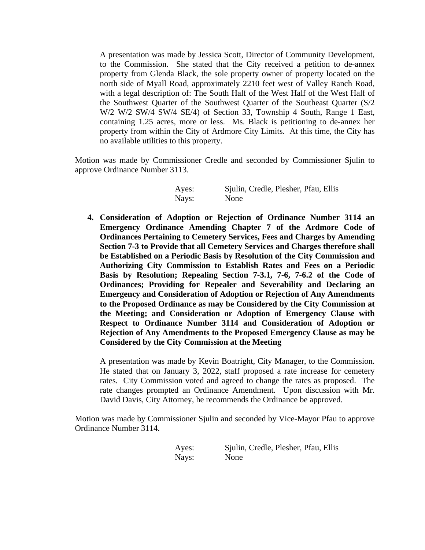A presentation was made by Jessica Scott, Director of Community Development, to the Commission. She stated that the City received a petition to de-annex property from Glenda Black, the sole property owner of property located on the north side of Myall Road, approximately 2210 feet west of Valley Ranch Road, with a legal description of: The South Half of the West Half of the West Half of the Southwest Quarter of the Southwest Quarter of the Southeast Quarter (S/2 W/2 W/2 SW/4 SW/4 SE/4) of Section 33, Township 4 South, Range 1 East, containing 1.25 acres, more or less. Ms. Black is petitioning to de-annex her property from within the City of Ardmore City Limits. At this time, the City has no available utilities to this property.

Motion was made by Commissioner Credle and seconded by Commissioner Sjulin to approve Ordinance Number 3113.

| Ayes: | Sjulin, Credle, Plesher, Pfau, Ellis |  |  |
|-------|--------------------------------------|--|--|
| Nays: | None                                 |  |  |

**4. Consideration of Adoption or Rejection of Ordinance Number 3114 an Emergency Ordinance Amending Chapter 7 of the Ardmore Code of Ordinances Pertaining to Cemetery Services, Fees and Charges by Amending Section 7-3 to Provide that all Cemetery Services and Charges therefore shall be Established on a Periodic Basis by Resolution of the City Commission and Authorizing City Commission to Establish Rates and Fees on a Periodic Basis by Resolution; Repealing Section 7-3.1, 7-6, 7-6.2 of the Code of Ordinances; Providing for Repealer and Severability and Declaring an Emergency and Consideration of Adoption or Rejection of Any Amendments to the Proposed Ordinance as may be Considered by the City Commission at the Meeting; and Consideration or Adoption of Emergency Clause with Respect to Ordinance Number 3114 and Consideration of Adoption or Rejection of Any Amendments to the Proposed Emergency Clause as may be Considered by the City Commission at the Meeting**

A presentation was made by Kevin Boatright, City Manager, to the Commission. He stated that on January 3, 2022, staff proposed a rate increase for cemetery rates. City Commission voted and agreed to change the rates as proposed. The rate changes prompted an Ordinance Amendment. Upon discussion with Mr. David Davis, City Attorney, he recommends the Ordinance be approved.

Motion was made by Commissioner Sjulin and seconded by Vice-Mayor Pfau to approve Ordinance Number 3114.

> Ayes: Sjulin, Credle, Plesher, Pfau, Ellis Nays: None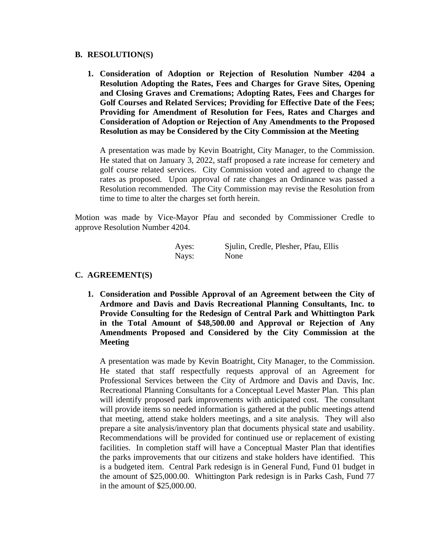#### **B. RESOLUTION(S)**

**1. Consideration of Adoption or Rejection of Resolution Number 4204 a Resolution Adopting the Rates, Fees and Charges for Grave Sites, Opening and Closing Graves and Cremations; Adopting Rates, Fees and Charges for Golf Courses and Related Services; Providing for Effective Date of the Fees; Providing for Amendment of Resolution for Fees, Rates and Charges and Consideration of Adoption or Rejection of Any Amendments to the Proposed Resolution as may be Considered by the City Commission at the Meeting**

A presentation was made by Kevin Boatright, City Manager, to the Commission. He stated that on January 3, 2022, staff proposed a rate increase for cemetery and golf course related services. City Commission voted and agreed to change the rates as proposed. Upon approval of rate changes an Ordinance was passed a Resolution recommended. The City Commission may revise the Resolution from time to time to alter the charges set forth herein.

Motion was made by Vice-Mayor Pfau and seconded by Commissioner Credle to approve Resolution Number 4204.

| Ayes: | Sjulin, Credle, Plesher, Pfau, Ellis |
|-------|--------------------------------------|
| Nays: | None                                 |

## **C. AGREEMENT(S)**

**1. Consideration and Possible Approval of an Agreement between the City of Ardmore and Davis and Davis Recreational Planning Consultants, Inc. to Provide Consulting for the Redesign of Central Park and Whittington Park in the Total Amount of \$48,500.00 and Approval or Rejection of Any Amendments Proposed and Considered by the City Commission at the Meeting**

A presentation was made by Kevin Boatright, City Manager, to the Commission. He stated that staff respectfully requests approval of an Agreement for Professional Services between the City of Ardmore and Davis and Davis, Inc. Recreational Planning Consultants for a Conceptual Level Master Plan. This plan will identify proposed park improvements with anticipated cost. The consultant will provide items so needed information is gathered at the public meetings attend that meeting, attend stake holders meetings, and a site analysis. They will also prepare a site analysis/inventory plan that documents physical state and usability. Recommendations will be provided for continued use or replacement of existing facilities. In completion staff will have a Conceptual Master Plan that identifies the parks improvements that our citizens and stake holders have identified. This is a budgeted item. Central Park redesign is in General Fund, Fund 01 budget in the amount of \$25,000.00. Whittington Park redesign is in Parks Cash, Fund 77 in the amount of \$25,000.00.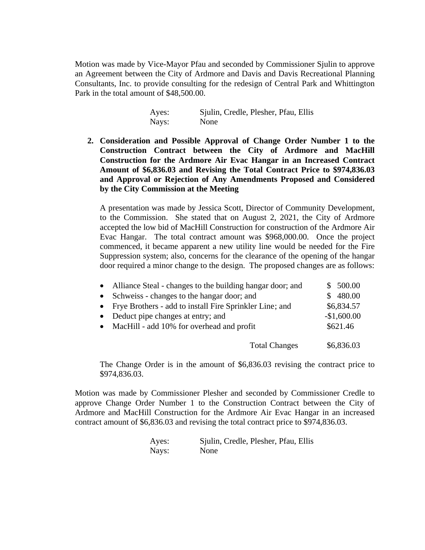Motion was made by Vice-Mayor Pfau and seconded by Commissioner Sjulin to approve an Agreement between the City of Ardmore and Davis and Davis Recreational Planning Consultants, Inc. to provide consulting for the redesign of Central Park and Whittington Park in the total amount of \$48,500.00.

| Ayes: | Sjulin, Credle, Plesher, Pfau, Ellis |
|-------|--------------------------------------|
| Nays: | None                                 |

**2. Consideration and Possible Approval of Change Order Number 1 to the Construction Contract between the City of Ardmore and MacHill Construction for the Ardmore Air Evac Hangar in an Increased Contract Amount of \$6,836.03 and Revising the Total Contract Price to \$974,836.03 and Approval or Rejection of Any Amendments Proposed and Considered by the City Commission at the Meeting**

A presentation was made by Jessica Scott, Director of Community Development, to the Commission. She stated that on August 2, 2021, the City of Ardmore accepted the low bid of MacHill Construction for construction of the Ardmore Air Evac Hangar. The total contract amount was \$968,000.00. Once the project commenced, it became apparent a new utility line would be needed for the Fire Suppression system; also, concerns for the clearance of the opening of the hangar door required a minor change to the design. The proposed changes are as follows:

| • Alliance Steal - changes to the building hangar door; and | \$500.00     |
|-------------------------------------------------------------|--------------|
| • Schweiss - changes to the hangar door; and                | \$480.00     |
| • Frye Brothers - add to install Fire Sprinkler Line; and   | \$6,834.57   |
| • Deduct pipe changes at entry; and                         | $-$1,600.00$ |
| • MacHill - add 10% for overhead and profit                 | \$621.46     |
| <b>Total Changes</b>                                        | \$6,836.03   |

The Change Order is in the amount of \$6,836.03 revising the contract price to \$974,836.03.

Motion was made by Commissioner Plesher and seconded by Commissioner Credle to approve Change Order Number 1 to the Construction Contract between the City of Ardmore and MacHill Construction for the Ardmore Air Evac Hangar in an increased contract amount of \$6,836.03 and revising the total contract price to \$974,836.03.

| Ayes: | Sjulin, Credle, Plesher, Pfau, Ellis |
|-------|--------------------------------------|
| Nays: | None                                 |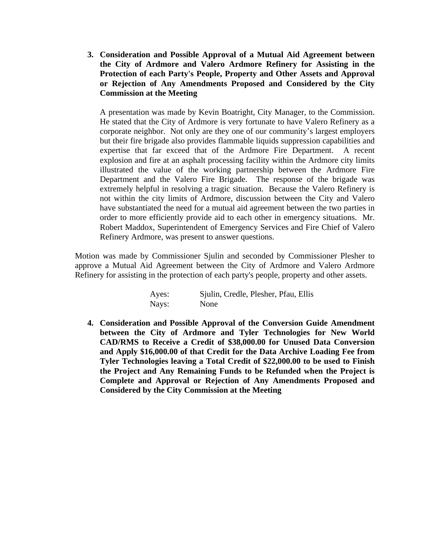**3. Consideration and Possible Approval of a Mutual Aid Agreement between the City of Ardmore and Valero Ardmore Refinery for Assisting in the Protection of each Party's People, Property and Other Assets and Approval or Rejection of Any Amendments Proposed and Considered by the City Commission at the Meeting**

A presentation was made by Kevin Boatright, City Manager, to the Commission. He stated that the City of Ardmore is very fortunate to have Valero Refinery as a corporate neighbor. Not only are they one of our community's largest employers but their fire brigade also provides flammable liquids suppression capabilities and expertise that far exceed that of the Ardmore Fire Department. A recent explosion and fire at an asphalt processing facility within the Ardmore city limits illustrated the value of the working partnership between the Ardmore Fire Department and the Valero Fire Brigade. The response of the brigade was extremely helpful in resolving a tragic situation. Because the Valero Refinery is not within the city limits of Ardmore, discussion between the City and Valero have substantiated the need for a mutual aid agreement between the two parties in order to more efficiently provide aid to each other in emergency situations. Mr. Robert Maddox, Superintendent of Emergency Services and Fire Chief of Valero Refinery Ardmore, was present to answer questions.

Motion was made by Commissioner Sjulin and seconded by Commissioner Plesher to approve a Mutual Aid Agreement between the City of Ardmore and Valero Ardmore Refinery for assisting in the protection of each party's people, property and other assets.

| Ayes: | Sjulin, Credle, Plesher, Pfau, Ellis |
|-------|--------------------------------------|
| Nays: | None                                 |

**4. Consideration and Possible Approval of the Conversion Guide Amendment between the City of Ardmore and Tyler Technologies for New World CAD/RMS to Receive a Credit of \$38,000.00 for Unused Data Conversion and Apply \$16,000.00 of that Credit for the Data Archive Loading Fee from Tyler Technologies leaving a Total Credit of \$22,000.00 to be used to Finish the Project and Any Remaining Funds to be Refunded when the Project is Complete and Approval or Rejection of Any Amendments Proposed and Considered by the City Commission at the Meeting**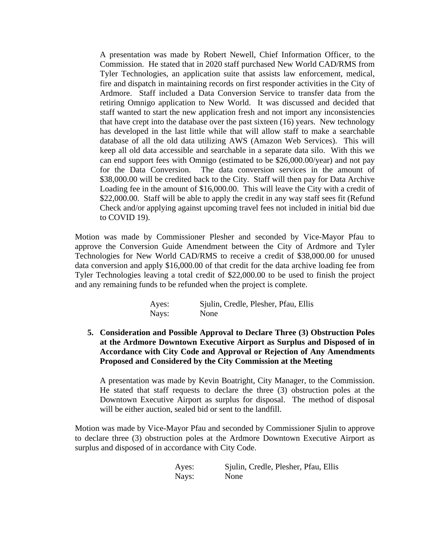A presentation was made by Robert Newell, Chief Information Officer, to the Commission. He stated that in 2020 staff purchased New World CAD/RMS from Tyler Technologies, an application suite that assists law enforcement, medical, fire and dispatch in maintaining records on first responder activities in the City of Ardmore. Staff included a Data Conversion Service to transfer data from the retiring Omnigo application to New World. It was discussed and decided that staff wanted to start the new application fresh and not import any inconsistencies that have crept into the database over the past sixteen (16) years. New technology has developed in the last little while that will allow staff to make a searchable database of all the old data utilizing AWS (Amazon Web Services). This will keep all old data accessible and searchable in a separate data silo. With this we can end support fees with Omnigo (estimated to be \$26,000.00/year) and not pay for the Data Conversion. The data conversion services in the amount of \$38,000.00 will be credited back to the City. Staff will then pay for Data Archive Loading fee in the amount of \$16,000.00. This will leave the City with a credit of \$22,000.00. Staff will be able to apply the credit in any way staff sees fit (Refund Check and/or applying against upcoming travel fees not included in initial bid due to COVID 19).

Motion was made by Commissioner Plesher and seconded by Vice-Mayor Pfau to approve the Conversion Guide Amendment between the City of Ardmore and Tyler Technologies for New World CAD/RMS to receive a credit of \$38,000.00 for unused data conversion and apply \$16,000.00 of that credit for the data archive loading fee from Tyler Technologies leaving a total credit of \$22,000.00 to be used to finish the project and any remaining funds to be refunded when the project is complete.

| Ayes: | Sjulin, Credle, Plesher, Pfau, Ellis |
|-------|--------------------------------------|
| Nays: | None                                 |

**5. Consideration and Possible Approval to Declare Three (3) Obstruction Poles at the Ardmore Downtown Executive Airport as Surplus and Disposed of in Accordance with City Code and Approval or Rejection of Any Amendments Proposed and Considered by the City Commission at the Meeting**

A presentation was made by Kevin Boatright, City Manager, to the Commission. He stated that staff requests to declare the three (3) obstruction poles at the Downtown Executive Airport as surplus for disposal. The method of disposal will be either auction, sealed bid or sent to the landfill.

Motion was made by Vice-Mayor Pfau and seconded by Commissioner Sjulin to approve to declare three (3) obstruction poles at the Ardmore Downtown Executive Airport as surplus and disposed of in accordance with City Code.

| Ayes: | Sjulin, Credle, Plesher, Pfau, Ellis |
|-------|--------------------------------------|
| Nays: | None                                 |